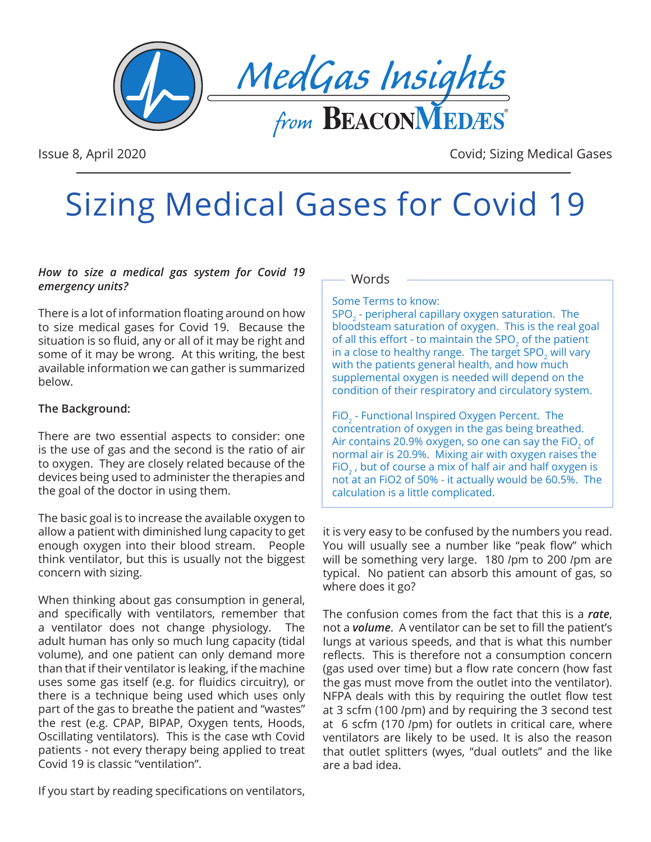

Issue 8, April 2020 Covid; Sizing Medical Gases

# Sizing Medical Gases for Covid 19

#### *How to size a medical gas system for Covid 19 emergency units?*

There is a lot of information floating around on how to size medical gases for Covid 19. Because the situation is so fluid, any or all of it may be right and some of it may be wrong. At this writing, the best available information we can gather is summarized below.

#### **The Background:**

There are two essential aspects to consider: one is the use of gas and the second is the ratio of air to oxygen. They are closely related because of the devices being used to administer the therapies and the goal of the doctor in using them.

The basic goal is to increase the available oxygen to allow a patient with diminished lung capacity to get enough oxygen into their blood stream. People think ventilator, but this is usually not the biggest concern with sizing.

When thinking about gas consumption in general, and specifically with ventilators, remember that a ventilator does not change physiology. The adult human has only so much lung capacity (tidal volume), and one patient can only demand more than that if their ventilator is leaking, if the machine uses some gas itself (e.g. for fluidics circuitry), or there is a technique being used which uses only part of the gas to breathe the patient and "wastes" the rest (e.g. CPAP, BIPAP, Oxygen tents, Hoods, Oscillating ventilators). This is the case wth Covid patients - not every therapy being applied to treat Covid 19 is classic "ventilation".

If you start by reading specifications on ventilators,

#### Words

#### Some Terms to know:

SPO<sub>2</sub> - peripheral capillary oxygen saturation. The bloodsteam saturation of oxygen. This is the real goal of all this effort - to maintain the SPO<sub>2</sub> of the patient in a close to healthy range. The target SPO<sub>2</sub> will vary with the patients general health, and how much supplemental oxygen is needed will depend on the condition of their respiratory and circulatory system.

FiO<sub>2</sub> - Functional Inspired Oxygen Percent. The concentration of oxygen in the gas being breathed. Air contains 20.9% oxygen, so one can say the FiO<sub>2</sub> of normal air is 20.9%. Mixing air with oxygen raises the FiO<sub>2</sub>, but of course a mix of half air and half oxygen is not at an FiO2 of 50% - it actually would be 60.5%. The calculation is a little complicated.

it is very easy to be confused by the numbers you read. You will usually see a number like "peak flow" which will be something very large. 180 lpm to 200 lpm are typical. No patient can absorb this amount of gas, so where does it go?

The confusion comes from the fact that this is a *rate*, not a *volume*. A ventilator can be set to fill the patient's lungs at various speeds, and that is what this number reflects. This is therefore not a consumption concern (gas used over time) but a flow rate concern (how fast the gas must move from the outlet into the ventilator). NFPA deals with this by requiring the outlet flow test at 3 scfm (100 *lpm*) and by requiring the 3 second test at 6 scfm (170 *lpm)* for outlets in critical care, where ventilators are likely to be used. It is also the reason that outlet splitters (wyes, "dual outlets" and the like are a bad idea.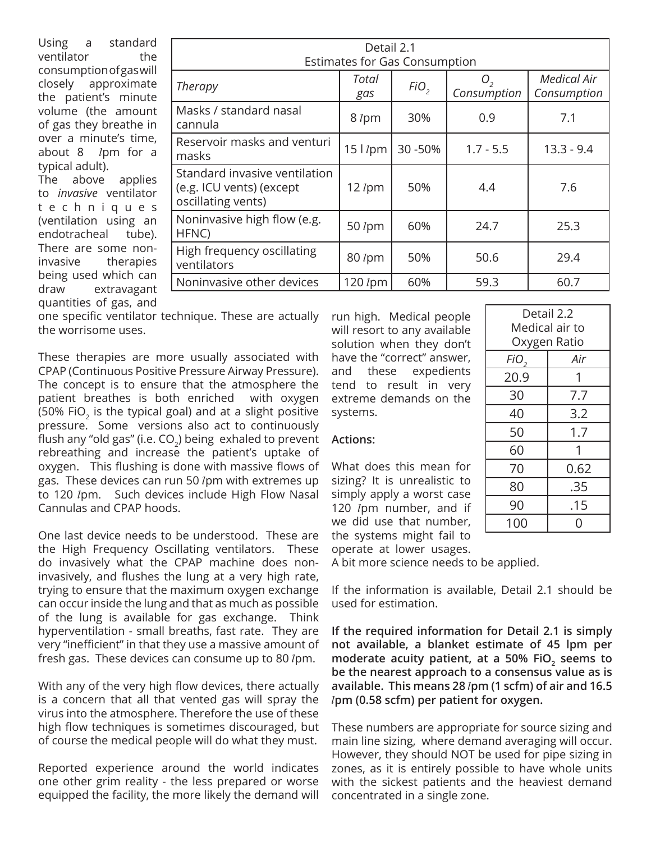Using a standard ventilator the consumption of gas will closely approximate the patient's minute volume (the amount of gas they breathe in over a minute's time, about 8  $l$ pm for a typical adult). The above applies to *invasive* ventilator t e c h n i q u e s (ventilation using an endotracheal tube). There are some noninvasive therapies being used which can draw extravagant quantities of gas, and

| Detail 2.1                                                                      |               |                  |                   |                                   |  |
|---------------------------------------------------------------------------------|---------------|------------------|-------------------|-----------------------------------|--|
| <b>Estimates for Gas Consumption</b>                                            |               |                  |                   |                                   |  |
| Therapy                                                                         | Total<br>gas  | FiO <sub>2</sub> | 0,<br>Consumption | <b>Medical Air</b><br>Consumption |  |
| Masks / standard nasal<br>cannula                                               | 8 lpm         | 30%              | 0.9               | 7.1                               |  |
| Reservoir masks and venturi<br>masks                                            | $15$ $1$ pm   | 30 - 50%         | $1.7 - 5.5$       | $13.3 - 9.4$                      |  |
| Standard invasive ventilation<br>(e.g. ICU vents) (except<br>oscillating vents) | 12 $l$ pm     | 50%              | 4.4               | 7.6                               |  |
| Noninvasive high flow (e.g.<br>HFNC)                                            | 50 <i>lpm</i> | 60%              | 24.7              | 25.3                              |  |
| High frequency oscillating<br>ventilators                                       | 80 lpm        | 50%              | 50.6              | 29.4                              |  |
| Noninvasive other devices                                                       | 120 /pm       | 60%              | 59.3              | 60.7                              |  |

one specific ventilator technique. These are actually the worrisome uses.

These therapies are more usually associated with CPAP (Continuous Positive Pressure Airway Pressure). The concept is to ensure that the atmosphere the patient breathes is both enriched with oxygen (50% FiO<sub>2</sub> is the typical goal) and at a slight positive pressure. Some versions also act to continuously flush any "old gas" (i.e.  $CO<sub>2</sub>$ ) being exhaled to prevent rebreathing and increase the patient's uptake of oxygen. This flushing is done with massive flows of gas. These devices can run 50 lpm with extremes up to 120 *I*pm. Such devices include High Flow Nasal Cannulas and CPAP hoods.

One last device needs to be understood. These are the High Frequency Oscillating ventilators. These do invasively what the CPAP machine does noninvasively, and flushes the lung at a very high rate, trying to ensure that the maximum oxygen exchange can occur inside the lung and that as much as possible of the lung is available for gas exchange. Think hyperventilation - small breaths, fast rate. They are very "inefficient" in that they use a massive amount of fresh gas. These devices can consume up to 80 lpm.

With any of the very high flow devices, there actually is a concern that all that vented gas will spray the virus into the atmosphere. Therefore the use of these high flow techniques is sometimes discouraged, but of course the medical people will do what they must.

Reported experience around the world indicates one other grim reality - the less prepared or worse equipped the facility, the more likely the demand will run high. Medical people will resort to any available solution when they don't have the "correct" answer, and these expedients tend to result in very extreme demands on the systems.

#### **Actions:**

What does this mean for sizing? It is unrealistic to simply apply a worst case 120  $l$ pm number, and if we did use that number, the systems might fail to operate at lower usages.

| Detail 2.2       |      |  |  |
|------------------|------|--|--|
| Medical air to   |      |  |  |
| Oxygen Ratio     |      |  |  |
| FiO <sub>2</sub> | Air  |  |  |
| 20.9             | 1    |  |  |
| 30               | 7.7  |  |  |
| 40               | 3.2  |  |  |
| 50               | 1.7  |  |  |
| 60               | 1    |  |  |
| 70               | 0.62 |  |  |
| 80               | .35  |  |  |
| 90               | .15  |  |  |
| 100<br>Ω         |      |  |  |

A bit more science needs to be applied.

If the information is available, Detail 2.1 should be used for estimation.

**If the required information for Detail 2.1 is simply not available, a blanket estimate of 45 lpm per**  moderate acuity patient, at a 50% FiO<sub>2</sub> seems to **be the nearest approach to a consensus value as is available. This means 28** l**pm (1 scfm) of air and 16.5**  l**pm (0.58 scfm) per patient for oxygen.** 

These numbers are appropriate for source sizing and main line sizing, where demand averaging will occur. However, they should NOT be used for pipe sizing in zones, as it is entirely possible to have whole units with the sickest patients and the heaviest demand concentrated in a single zone.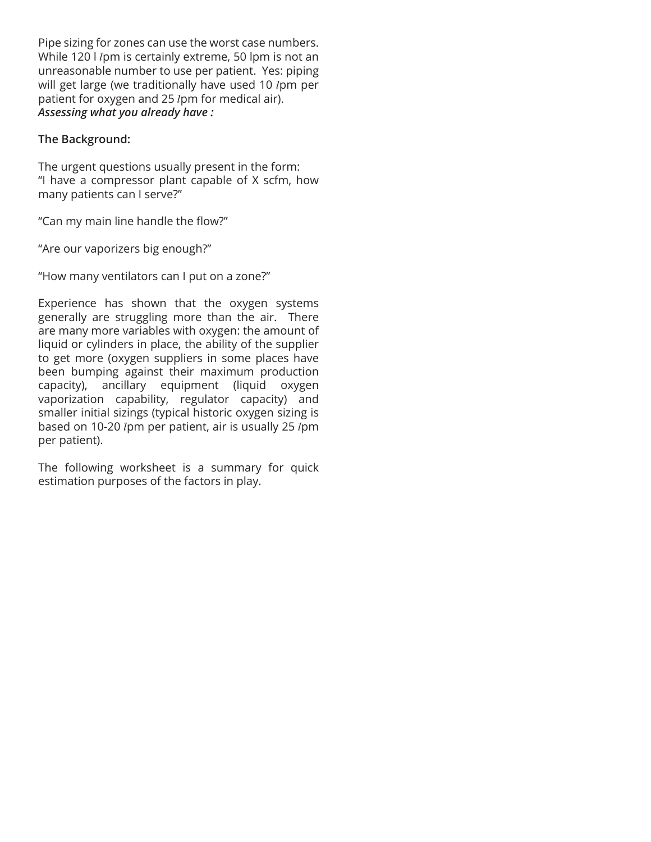Pipe sizing for zones can use the worst case numbers. While 120 l lpm is certainly extreme, 50 lpm is not an unreasonable number to use per patient. Yes: piping will get large (we traditionally have used 10  $l$ pm per patient for oxygen and 25 lpm for medical air). *Assessing what you already have :* 

#### **The Background:**

The urgent questions usually present in the form: "I have a compressor plant capable of X scfm, how many patients can I serve?"

"Can my main line handle the flow?"

"Are our vaporizers big enough?"

"How many ventilators can I put on a zone?"

Experience has shown that the oxygen systems generally are struggling more than the air. There are many more variables with oxygen: the amount of liquid or cylinders in place, the ability of the supplier to get more (oxygen suppliers in some places have been bumping against their maximum production capacity), ancillary equipment (liquid oxygen vaporization capability, regulator capacity) and smaller initial sizings (typical historic oxygen sizing is based on 10-20 *lpm per patient, air is usually 25 lpm* per patient).

The following worksheet is a summary for quick estimation purposes of the factors in play.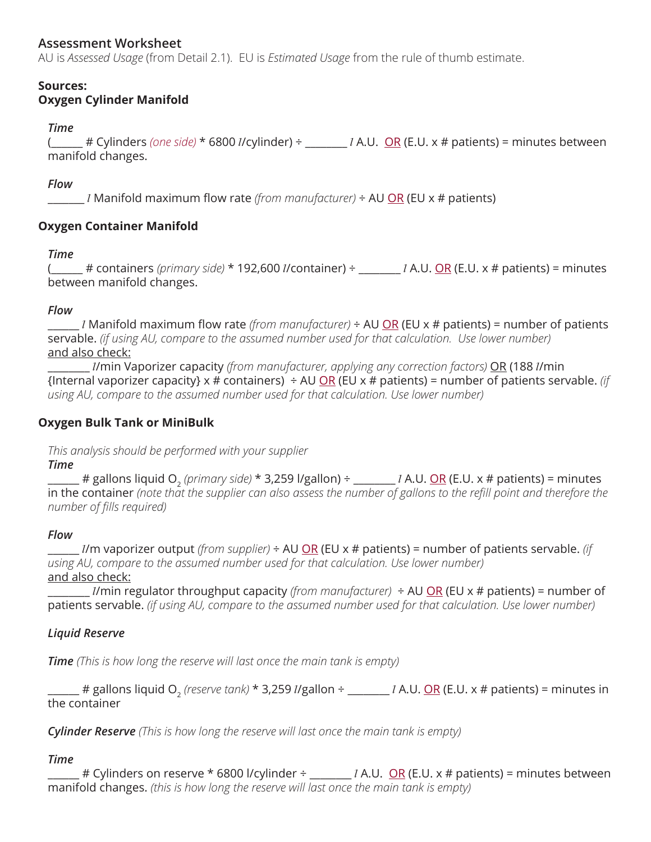# **Assessment Worksheet**

AU is *Assessed Usage* (from Detail 2.1). EU is *Estimated Usage* from the rule of thumb estimate.

#### **Sources: Oxygen Cylinder Manifold**

### *Time*

( $\qquad$  # Cylinders *(one side)*  $*$  6800 *l*/cylinder) ÷  $\qquad$  *l* A.U. OR (E.U. x # patients) = minutes between manifold changes.

## *Flow*

\_\_\_\_\_\_\_ l Manifold maximum flow rate *(from manufacturer)* ÷ AU OR (EU x # patients)

# **Oxygen Container Manifold**

### *Time*

 $f$  # containers *(primary side)* \* 192,600 *l/*container) ÷ \_\_\_\_\_\_\_ *l* A.U. <u>OR</u> (E.U. x # patients) = minutes between manifold changes.

### *Flow*

\_\_\_\_\_\_ l Manifold maximum flow rate *(from manufacturer)* ÷ AU OR (EU x # patients) = number of patients servable. *(if using AU, compare to the assumed number used for that calculation. Use lower number)* and also check:

\_\_\_\_\_\_\_\_ l/min Vaporizer capacity *(from manufacturer, applying any correction factors)* OR (188 l/min {Internal vaporizer capacity} x # containers) ÷ AU OR (EU x # patients) = number of patients servable. *(if using AU, compare to the assumed number used for that calculation. Use lower number)*

## **Oxygen Bulk Tank or MiniBulk**

*This analysis should be performed with your supplier*

### *Time*

\_\_\_\_\_\_ # gallons liquid O2 *(primary side)* \* 3,259 l/gallon) ÷ \_\_\_\_\_\_\_\_ l A.U. OR (E.U. x # patients) = minutes in the container *(note that the supplier can also assess the number of gallons to the refill point and therefore the number of fills required)*

### *Flow*

\_\_\_\_\_\_ l/m vaporizer output *(from supplier)* ÷ AU OR (EU x # patients) = number of patients servable. *(if using AU, compare to the assumed number used for that calculation. Use lower number)* and also check:

\_\_\_\_\_\_\_\_ l/min regulator throughput capacity *(from manufacturer)* ÷ AU OR (EU x # patients) = number of patients servable. *(if using AU, compare to the assumed number used for that calculation. Use lower number)*

# *Liquid Reserve*

*Time (This is how long the reserve will last once the main tank is empty)*

\_\_\_\_\_\_ # gallons liquid O2 *(reserve tank)* \* 3,259 l/gallon ÷ \_\_\_\_\_\_\_\_ l A.U. OR (E.U. x # patients) = minutes in the container

*Cylinder Reserve (This is how long the reserve will last once the main tank is empty)*

### *Time*

# Cylinders on reserve \* 6800 l/cylinder ÷  $1 A.U. OR (E.U. x # patients) = minutes between$ manifold changes. *(this is how long the reserve will last once the main tank is empty)*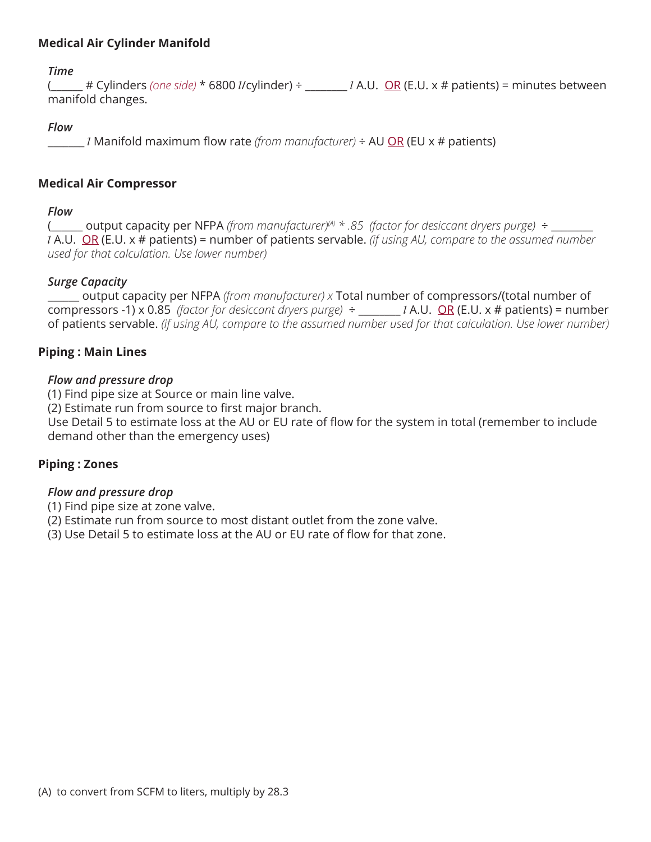## **Medical Air Cylinder Manifold**

*Time*

 $($   $#$  Cylinders *(one side)*  $*$  6800 *l/cylinder)*  $\div$  \_\_\_\_\_\_\_ *l* A.U. <u>OR</u> (E.U. x # patients) = minutes between manifold changes.

#### *Flow*

\_\_\_\_\_\_\_ l Manifold maximum flow rate *(from manufacturer)* ÷ AU OR (EU x # patients)

#### **Medical Air Compressor**

### *Flow*

(\_\_\_\_\_\_ output capacity per NFPA *(from manufacturer)(A) \* .85 (factor for desiccant dryers purge)* ÷ \_\_\_\_\_\_\_\_ l A.U. OR (E.U. x # patients) = number of patients servable. *(if using AU, compare to the assumed number used for that calculation. Use lower number)*

### *Surge Capacity*

\_\_\_\_\_\_ output capacity per NFPA *(from manufacturer) x* Total number of compressors/(total number of compressors -1) x 0.85 *(factor for desiccant dryers purge)* ÷ \_\_\_\_\_\_\_\_ l A.U. OR (E.U. x # patients) = number of patients servable. *(if using AU, compare to the assumed number used for that calculation. Use lower number)*

### **Piping : Main Lines**

### *Flow and pressure drop*

(1) Find pipe size at Source or main line valve.

(2) Estimate run from source to first major branch.

Use Detail 5 to estimate loss at the AU or EU rate of flow for the system in total (remember to include demand other than the emergency uses)

### **Piping : Zones**

### *Flow and pressure drop*

(1) Find pipe size at zone valve.

(2) Estimate run from source to most distant outlet from the zone valve.

(3) Use Detail 5 to estimate loss at the AU or EU rate of flow for that zone.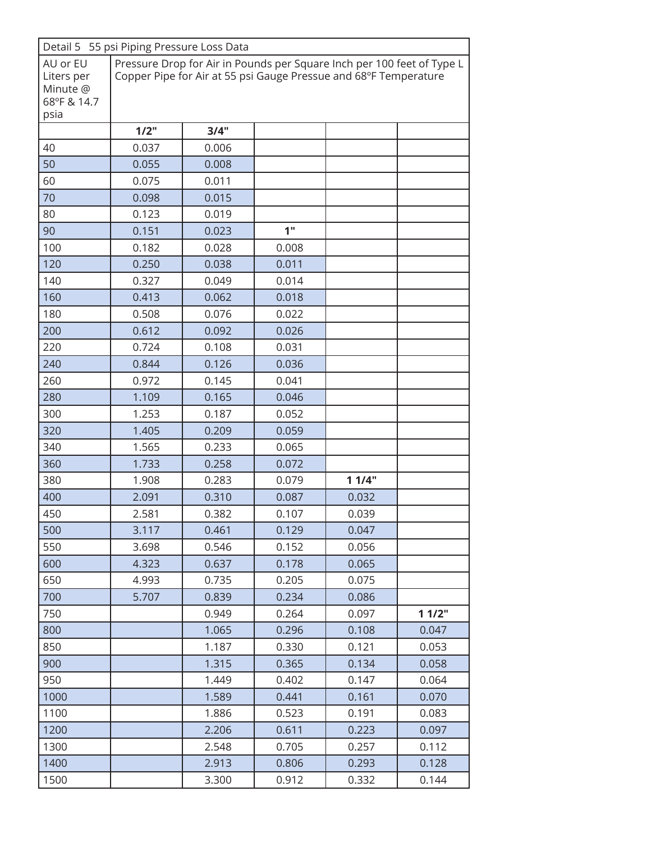| Detail 5 55 psi Piping Pressure Loss Data         |                                                                                                                                            |       |                 |       |       |
|---------------------------------------------------|--------------------------------------------------------------------------------------------------------------------------------------------|-------|-----------------|-------|-------|
| AU or EU<br>Liters per<br>Minute @<br>68°F & 14.7 | Pressure Drop for Air in Pounds per Square Inch per 100 feet of Type L<br>Copper Pipe for Air at 55 psi Gauge Pressue and 68°F Temperature |       |                 |       |       |
| psia                                              |                                                                                                                                            |       |                 |       |       |
|                                                   | 1/2"                                                                                                                                       | 3/4"  |                 |       |       |
| 40                                                | 0.037                                                                                                                                      | 0.006 |                 |       |       |
| 50                                                | 0.055                                                                                                                                      | 0.008 |                 |       |       |
| 60                                                | 0.075                                                                                                                                      | 0.011 |                 |       |       |
| 70                                                | 0.098                                                                                                                                      | 0.015 |                 |       |       |
| 80                                                | 0.123                                                                                                                                      | 0.019 |                 |       |       |
| 90                                                | 0.151                                                                                                                                      | 0.023 | 1 <sup>II</sup> |       |       |
| 100                                               | 0.182                                                                                                                                      | 0.028 | 0.008           |       |       |
| 120                                               | 0.250                                                                                                                                      | 0.038 | 0.011           |       |       |
| 140                                               | 0.327                                                                                                                                      | 0.049 | 0.014           |       |       |
| 160                                               | 0.413                                                                                                                                      | 0.062 | 0.018           |       |       |
| 180                                               | 0.508                                                                                                                                      | 0.076 | 0.022           |       |       |
| 200                                               | 0.612                                                                                                                                      | 0.092 | 0.026           |       |       |
| 220                                               | 0.724                                                                                                                                      | 0.108 | 0.031           |       |       |
| 240                                               | 0.844                                                                                                                                      | 0.126 | 0.036           |       |       |
| 260                                               | 0.972                                                                                                                                      | 0.145 | 0.041           |       |       |
| 280                                               | 1.109                                                                                                                                      | 0.165 | 0.046           |       |       |
| 300                                               | 1.253                                                                                                                                      | 0.187 | 0.052           |       |       |
| 320                                               | 1.405                                                                                                                                      | 0.209 | 0.059           |       |       |
| 340                                               | 1.565                                                                                                                                      | 0.233 | 0.065           |       |       |
| 360                                               | 1.733                                                                                                                                      | 0.258 | 0.072           |       |       |
| 380                                               | 1.908                                                                                                                                      | 0.283 | 0.079           | 11/4" |       |
| 400                                               | 2.091                                                                                                                                      | 0.310 | 0.087           | 0.032 |       |
| 450                                               | 2.581                                                                                                                                      | 0.382 | 0.107           | 0.039 |       |
| 500                                               | 3.117                                                                                                                                      | 0.461 | 0.129           | 0.047 |       |
| 550                                               | 3.698                                                                                                                                      | 0.546 | 0.152           | 0.056 |       |
| 600                                               | 4.323                                                                                                                                      | 0.637 | 0.178           | 0.065 |       |
| 650                                               | 4.993                                                                                                                                      | 0.735 | 0.205           | 0.075 |       |
| 700                                               | 5.707                                                                                                                                      | 0.839 | 0.234           | 0.086 |       |
| 750                                               |                                                                                                                                            | 0.949 | 0.264           | 0.097 | 11/2" |
| 800                                               |                                                                                                                                            | 1.065 | 0.296           | 0.108 | 0.047 |
| 850                                               |                                                                                                                                            | 1.187 | 0.330           | 0.121 | 0.053 |
| 900                                               |                                                                                                                                            | 1.315 | 0.365           | 0.134 | 0.058 |
| 950                                               |                                                                                                                                            | 1.449 | 0.402           | 0.147 | 0.064 |
| 1000                                              |                                                                                                                                            | 1.589 | 0.441           | 0.161 | 0.070 |
| 1100                                              |                                                                                                                                            | 1.886 | 0.523           | 0.191 | 0.083 |
| 1200                                              |                                                                                                                                            | 2.206 | 0.611           | 0.223 | 0.097 |
| 1300                                              |                                                                                                                                            | 2.548 | 0.705           | 0.257 | 0.112 |
| 1400                                              |                                                                                                                                            | 2.913 | 0.806           | 0.293 | 0.128 |
| 1500                                              |                                                                                                                                            | 3.300 | 0.912           | 0.332 | 0.144 |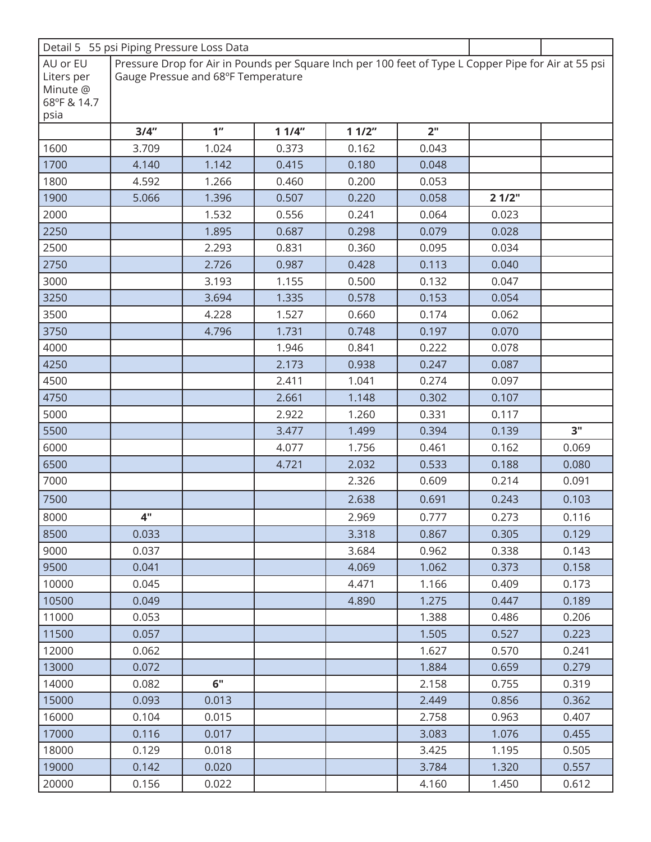|                        | Detail 5 55 psi Piping Pressure Loss Data                                                                                                  |                 |       |       |                 |       |       |
|------------------------|--------------------------------------------------------------------------------------------------------------------------------------------|-----------------|-------|-------|-----------------|-------|-------|
| AU or EU<br>Liters per | Pressure Drop for Air in Pounds per Square Inch per 100 feet of Type L Copper Pipe for Air at 55 psi<br>Gauge Pressue and 68°F Temperature |                 |       |       |                 |       |       |
| Minute @               |                                                                                                                                            |                 |       |       |                 |       |       |
| 68°F & 14.7            |                                                                                                                                            |                 |       |       |                 |       |       |
| psia                   |                                                                                                                                            |                 |       |       |                 |       |       |
|                        | 3/4"                                                                                                                                       | 1 <sup>''</sup> | 11/4" | 11/2" | 2 <sup>''</sup> |       |       |
| 1600                   | 3.709                                                                                                                                      | 1.024           | 0.373 | 0.162 | 0.043           |       |       |
| 1700                   | 4.140                                                                                                                                      | 1.142           | 0.415 | 0.180 | 0.048           |       |       |
| 1800                   | 4.592                                                                                                                                      | 1.266           | 0.460 | 0.200 | 0.053           |       |       |
| 1900                   | 5.066                                                                                                                                      | 1.396           | 0.507 | 0.220 | 0.058           | 21/2" |       |
| 2000                   |                                                                                                                                            | 1.532           | 0.556 | 0.241 | 0.064           | 0.023 |       |
| 2250                   |                                                                                                                                            | 1.895           | 0.687 | 0.298 | 0.079           | 0.028 |       |
| 2500                   |                                                                                                                                            | 2.293           | 0.831 | 0.360 | 0.095           | 0.034 |       |
| 2750                   |                                                                                                                                            | 2.726           | 0.987 | 0.428 | 0.113           | 0.040 |       |
| 3000                   |                                                                                                                                            | 3.193           | 1.155 | 0.500 | 0.132           | 0.047 |       |
| 3250                   |                                                                                                                                            | 3.694           | 1.335 | 0.578 | 0.153           | 0.054 |       |
| 3500                   |                                                                                                                                            | 4.228           | 1.527 | 0.660 | 0.174           | 0.062 |       |
| 3750                   |                                                                                                                                            | 4.796           | 1.731 | 0.748 | 0.197           | 0.070 |       |
| 4000                   |                                                                                                                                            |                 | 1.946 | 0.841 | 0.222           | 0.078 |       |
| 4250                   |                                                                                                                                            |                 | 2.173 | 0.938 | 0.247           | 0.087 |       |
| 4500                   |                                                                                                                                            |                 | 2.411 | 1.041 | 0.274           | 0.097 |       |
| 4750                   |                                                                                                                                            |                 | 2.661 | 1.148 | 0.302           | 0.107 |       |
| 5000                   |                                                                                                                                            |                 | 2.922 | 1.260 | 0.331           | 0.117 |       |
| 5500                   |                                                                                                                                            |                 | 3.477 | 1.499 | 0.394           | 0.139 | 3"    |
| 6000                   |                                                                                                                                            |                 | 4.077 | 1.756 | 0.461           | 0.162 | 0.069 |
| 6500                   |                                                                                                                                            |                 | 4.721 | 2.032 | 0.533           | 0.188 | 0.080 |
| 7000                   |                                                                                                                                            |                 |       | 2.326 | 0.609           | 0.214 | 0.091 |
| 7500                   |                                                                                                                                            |                 |       | 2.638 | 0.691           | 0.243 | 0.103 |
| 8000                   | 4"                                                                                                                                         |                 |       | 2.969 | 0.777           | 0.273 | 0.116 |
| 8500                   | 0.033                                                                                                                                      |                 |       | 3.318 | 0.867           | 0.305 | 0.129 |
| 9000                   | 0.037                                                                                                                                      |                 |       | 3.684 | 0.962           | 0.338 | 0.143 |
| 9500                   | 0.041                                                                                                                                      |                 |       | 4.069 | 1.062           | 0.373 | 0.158 |
| 10000                  | 0.045                                                                                                                                      |                 |       | 4.471 | 1.166           | 0.409 | 0.173 |
| 10500                  | 0.049                                                                                                                                      |                 |       | 4.890 | 1.275           | 0.447 | 0.189 |
| 11000                  | 0.053                                                                                                                                      |                 |       |       | 1.388           | 0.486 | 0.206 |
| 11500                  | 0.057                                                                                                                                      |                 |       |       | 1.505           | 0.527 | 0.223 |
| 12000                  | 0.062                                                                                                                                      |                 |       |       | 1.627           | 0.570 | 0.241 |
| 13000                  | 0.072                                                                                                                                      |                 |       |       | 1.884           | 0.659 | 0.279 |
| 14000                  | 0.082                                                                                                                                      | 6"              |       |       | 2.158           | 0.755 | 0.319 |
| 15000                  | 0.093                                                                                                                                      | 0.013           |       |       | 2.449           | 0.856 | 0.362 |
| 16000                  | 0.104                                                                                                                                      | 0.015           |       |       | 2.758           | 0.963 | 0.407 |
| 17000                  | 0.116                                                                                                                                      | 0.017           |       |       | 3.083           | 1.076 | 0.455 |
| 18000                  | 0.129                                                                                                                                      | 0.018           |       |       | 3.425           | 1.195 | 0.505 |
| 19000                  | 0.142                                                                                                                                      | 0.020           |       |       | 3.784           | 1.320 | 0.557 |
| 20000                  | 0.156                                                                                                                                      | 0.022           |       |       | 4.160           | 1.450 | 0.612 |